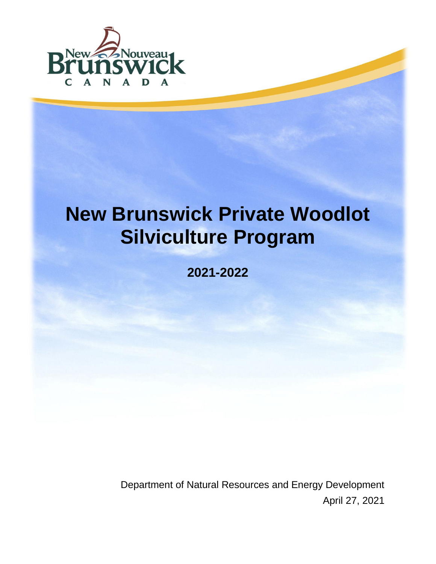

# **New Brunswick Private Woodlot Silviculture Program**

**2021-2022**

Department of Natural Resources and Energy Development April 27, 2021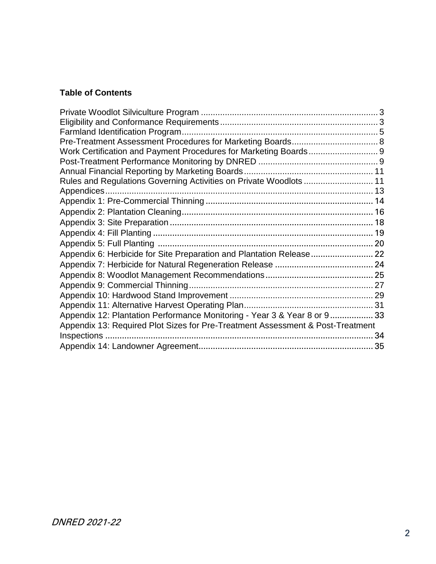#### **Table of Contents**

| Rules and Regulations Governing Activities on Private Woodlots  11             |    |
|--------------------------------------------------------------------------------|----|
|                                                                                |    |
|                                                                                |    |
|                                                                                |    |
|                                                                                |    |
|                                                                                |    |
|                                                                                |    |
|                                                                                |    |
|                                                                                |    |
|                                                                                |    |
|                                                                                |    |
|                                                                                |    |
|                                                                                |    |
| Appendix 12: Plantation Performance Monitoring - Year 3 & Year 8 or 9 33       |    |
| Appendix 13: Required Plot Sizes for Pre-Treatment Assessment & Post-Treatment |    |
|                                                                                | 34 |
|                                                                                |    |
|                                                                                |    |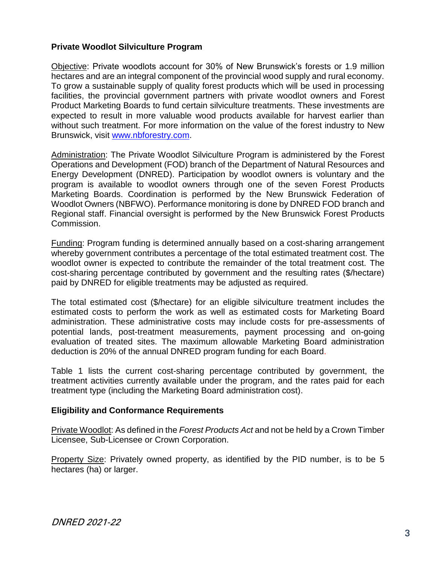#### <span id="page-2-0"></span>**Private Woodlot Silviculture Program**

Objective: Private woodlots account for 30% of New Brunswick's forests or 1.9 million hectares and are an integral component of the provincial wood supply and rural economy. To grow a sustainable supply of quality forest products which will be used in processing facilities, the provincial government partners with private woodlot owners and Forest Product Marketing Boards to fund certain silviculture treatments. These investments are expected to result in more valuable wood products available for harvest earlier than without such treatment. For more information on the value of the forest industry to New Brunswick, visit [www.nbforestry.com.](http://www.nbforestry.com/)

Administration: The Private Woodlot Silviculture Program is administered by the Forest Operations and Development (FOD) branch of the Department of Natural Resources and Energy Development (DNRED). Participation by woodlot owners is voluntary and the program is available to woodlot owners through one of the seven Forest Products Marketing Boards. Coordination is performed by the New Brunswick Federation of Woodlot Owners (NBFWO). Performance monitoring is done by DNRED FOD branch and Regional staff. Financial oversight is performed by the New Brunswick Forest Products Commission.

Funding: Program funding is determined annually based on a cost-sharing arrangement whereby government contributes a percentage of the total estimated treatment cost. The woodlot owner is expected to contribute the remainder of the total treatment cost. The cost-sharing percentage contributed by government and the resulting rates (\$/hectare) paid by DNRED for eligible treatments may be adjusted as required.

The total estimated cost (\$/hectare) for an eligible silviculture treatment includes the estimated costs to perform the work as well as estimated costs for Marketing Board administration. These administrative costs may include costs for pre-assessments of potential lands, post-treatment measurements, payment processing and on-going evaluation of treated sites. The maximum allowable Marketing Board administration deduction is 20% of the annual DNRED program funding for each Board.

Table 1 lists the current cost-sharing percentage contributed by government, the treatment activities currently available under the program, and the rates paid for each treatment type (including the Marketing Board administration cost).

#### <span id="page-2-1"></span>**Eligibility and Conformance Requirements**

Private Woodlot: As defined in the *Forest Products Act* and not be held by a Crown Timber Licensee, Sub-Licensee or Crown Corporation.

Property Size: Privately owned property, as identified by the PID number, is to be 5 hectares (ha) or larger.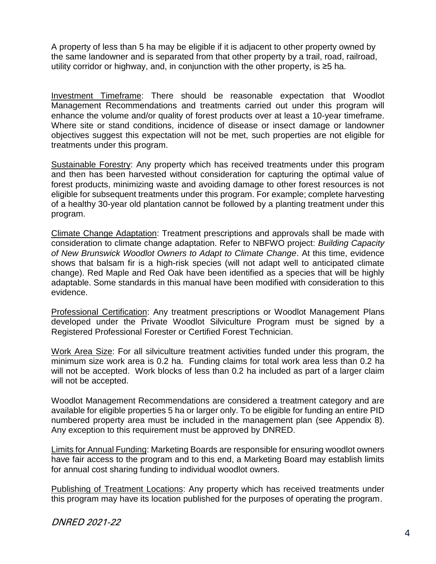A property of less than 5 ha may be eligible if it is adjacent to other property owned by the same landowner and is separated from that other property by a trail, road, railroad, utility corridor or highway, and, in conjunction with the other property, is ≥5 ha.

Investment Timeframe: There should be reasonable expectation that Woodlot Management Recommendations and treatments carried out under this program will enhance the volume and/or quality of forest products over at least a 10-year timeframe. Where site or stand conditions, incidence of disease or insect damage or landowner objectives suggest this expectation will not be met, such properties are not eligible for treatments under this program.

Sustainable Forestry: Any property which has received treatments under this program and then has been harvested without consideration for capturing the optimal value of forest products, minimizing waste and avoiding damage to other forest resources is not eligible for subsequent treatments under this program. For example; complete harvesting of a healthy 30-year old plantation cannot be followed by a planting treatment under this program.

Climate Change Adaptation: Treatment prescriptions and approvals shall be made with consideration to climate change adaptation. Refer to NBFWO project: *Building Capacity of New Brunswick Woodlot Owners to Adapt to Climate Change*. At this time, evidence shows that balsam fir is a high-risk species (will not adapt well to anticipated climate change). Red Maple and Red Oak have been identified as a species that will be highly adaptable. Some standards in this manual have been modified with consideration to this evidence.

Professional Certification: Any treatment prescriptions or Woodlot Management Plans developed under the Private Woodlot Silviculture Program must be signed by a Registered Professional Forester or Certified Forest Technician.

Work Area Size: For all silviculture treatment activities funded under this program, the minimum size work area is 0.2 ha. Funding claims for total work area less than 0.2 ha will not be accepted. Work blocks of less than 0.2 ha included as part of a larger claim will not be accepted.

Woodlot Management Recommendations are considered a treatment category and are available for eligible properties 5 ha or larger only. To be eligible for funding an entire PID numbered property area must be included in the management plan (see Appendix 8). Any exception to this requirement must be approved by DNRED.

Limits for Annual Funding: Marketing Boards are responsible for ensuring woodlot owners have fair access to the program and to this end, a Marketing Board may establish limits for annual cost sharing funding to individual woodlot owners.

Publishing of Treatment Locations: Any property which has received treatments under this program may have its location published for the purposes of operating the program.

DNRED 2021-22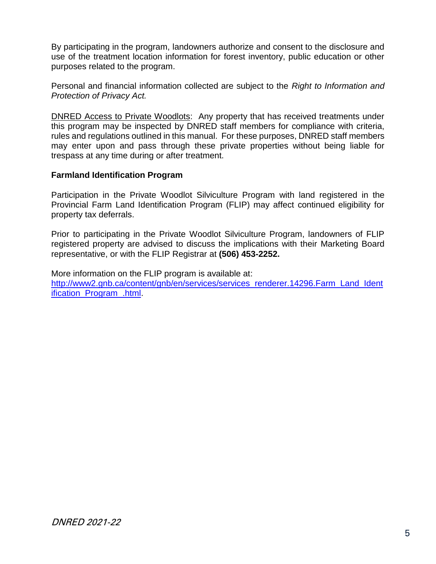By participating in the program, landowners authorize and consent to the disclosure and use of the treatment location information for forest inventory, public education or other purposes related to the program.

Personal and financial information collected are subject to the *Right to Information and Protection of Privacy Act.*

DNRED Access to Private Woodlots: Any property that has received treatments under this program may be inspected by DNRED staff members for compliance with criteria, rules and regulations outlined in this manual. For these purposes, DNRED staff members may enter upon and pass through these private properties without being liable for trespass at any time during or after treatment.

#### <span id="page-4-0"></span>**Farmland Identification Program**

Participation in the Private Woodlot Silviculture Program with land registered in the Provincial Farm Land Identification Program (FLIP) may affect continued eligibility for property tax deferrals.

Prior to participating in the Private Woodlot Silviculture Program, landowners of FLIP registered property are advised to discuss the implications with their Marketing Board representative, or with the FLIP Registrar at **(506) 453-2252.**

More information on the FLIP program is available at: [http://www2.gnb.ca/content/gnb/en/services/services\\_renderer.14296.Farm\\_Land\\_Ident](http://www2.gnb.ca/content/gnb/en/services/services_renderer.14296.Farm_Land_Identification_Program_.html) [ification\\_Program\\_.html.](http://www2.gnb.ca/content/gnb/en/services/services_renderer.14296.Farm_Land_Identification_Program_.html)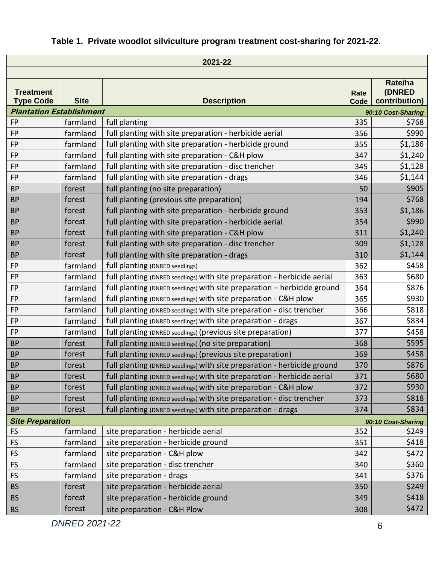### **Table 1. Private woodlot silviculture program treatment cost-sharing for 2021-22.**

| 2021-22                              |             |                                                                          |              |                                    |
|--------------------------------------|-------------|--------------------------------------------------------------------------|--------------|------------------------------------|
|                                      |             |                                                                          |              |                                    |
| <b>Treatment</b><br><b>Type Code</b> | <b>Site</b> | <b>Description</b>                                                       | Rate<br>Code | Rate/ha<br>(DNRED<br>contribution) |
| <b>Plantation Establishment</b>      |             |                                                                          |              | 90:10 Cost-Sharing                 |
| <b>FP</b>                            | farmland    | full planting                                                            | 335          | \$768                              |
| <b>FP</b>                            | farmland    | full planting with site preparation - herbicide aerial                   | 356          | \$990                              |
| <b>FP</b>                            | farmland    | full planting with site preparation - herbicide ground                   | 355          | \$1,186                            |
| <b>FP</b>                            | farmland    | full planting with site preparation - C&H plow                           | 347          | \$1,240                            |
| FP                                   | farmland    | full planting with site preparation - disc trencher                      | 345          | \$1,128                            |
| <b>FP</b>                            | farmland    | full planting with site preparation - drags                              | 346          | \$1,144                            |
| <b>BP</b>                            | forest      | full planting (no site preparation)                                      | 50           | \$905                              |
| <b>BP</b>                            | forest      | full planting (previous site preparation)                                | 194          | \$768                              |
| <b>BP</b>                            | forest      | full planting with site preparation - herbicide ground                   | 353          | \$1,186                            |
| <b>BP</b>                            | forest      | full planting with site preparation - herbicide aerial                   | 354          | \$990                              |
| <b>BP</b>                            | forest      | full planting with site preparation - C&H plow                           | 311          | \$1,240                            |
| <b>BP</b>                            | forest      | full planting with site preparation - disc trencher                      | 309          | \$1,128                            |
| <b>BP</b>                            | forest      | full planting with site preparation - drags                              | 310          | \$1,144                            |
| <b>FP</b>                            | farmland    | full planting (DNRED seedlings)                                          | 362          | \$458                              |
| <b>FP</b>                            | farmland    | full planting (DNRED seedlings) with site preparation - herbicide aerial | 363          | \$680                              |
| <b>FP</b>                            | farmland    | full planting (DNRED seedlings) with site preparation - herbicide ground | 364          | \$876                              |
| FP                                   | farmland    | full planting (DNRED seedlings) with site preparation - C&H plow         | 365          | \$930                              |
| <b>FP</b>                            | farmland    | full planting (DNRED seedlings) with site preparation - disc trencher    | 366          | \$818                              |
| FP                                   | farmland    | full planting (DNRED seedlings) with site preparation - drags            | 367          | \$834                              |
| <b>FP</b>                            | farmland    | full planting (DNRED seedlings) (previous site preparation)              | 377          | \$458                              |
| <b>BP</b>                            | forest      | full planting (DNRED seedlings) (no site preparation)                    | 368          | \$595                              |
| <b>BP</b>                            | forest      | full planting (DNRED seedlings) (previous site preparation)              | 369          | \$458                              |
| <b>BP</b>                            | forest      | full planting (DNRED seedlings) with site preparation - herbicide ground | 370          | \$876                              |
| <b>BP</b>                            | forest      | full planting (DNRED seedlings) with site preparation - herbicide aerial | 371          | \$680                              |
| <b>BP</b>                            | forest      | full planting (DNRED seedlings) with site preparation - C&H plow         | 372          | \$930                              |
| <b>BP</b>                            | forest      | full planting (DNRED seedlings) with site preparation - disc trencher    | 373          | \$818                              |
| <b>BP</b>                            | forest      | full planting (DNRED seedlings) with site preparation - drags            | 374          | \$834                              |
| <b>Site Preparation</b>              |             |                                                                          |              | 90:10 Cost-Sharing                 |
| <b>FS</b>                            | farmland    | site preparation - herbicide aerial                                      | 352          | \$249                              |
| <b>FS</b>                            | farmland    | site preparation - herbicide ground                                      | 351          | \$418                              |
| <b>FS</b>                            | farmland    | site preparation - C&H plow                                              | 342          | \$472                              |
| <b>FS</b>                            | farmland    | site preparation - disc trencher                                         | 340          | \$360                              |
| <b>FS</b>                            | farmland    | site preparation - drags                                                 | 341          | \$376                              |
| <b>BS</b>                            | forest      | site preparation - herbicide aerial                                      | 350          | \$249                              |
| <b>BS</b>                            | forest      | site preparation - herbicide ground                                      | 349          | \$418                              |
| <b>BS</b>                            | forest      | site preparation - C&H Plow                                              | 308          | \$472                              |

*DNRED 2021-22* 6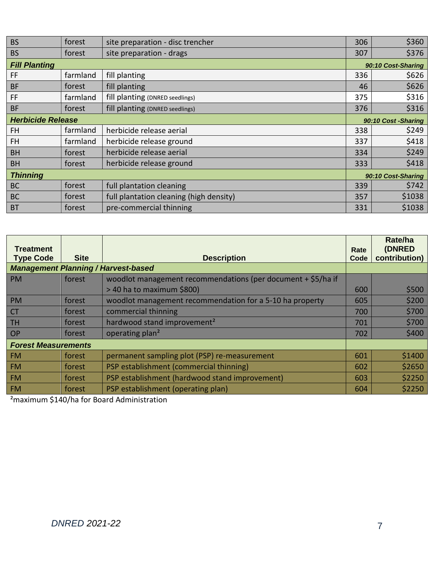| <b>BS</b>                | forest   | site preparation - disc trencher        | 306 | \$360               |
|--------------------------|----------|-----------------------------------------|-----|---------------------|
| <b>BS</b>                | forest   | site preparation - drags                | 307 | \$376               |
| <b>Fill Planting</b>     |          |                                         |     | 90:10 Cost-Sharing  |
| FF                       | farmland | fill planting                           | 336 | \$626               |
| <b>BF</b>                | forest   | fill planting                           | 46  | \$626               |
| FF                       | farmland | fill planting (DNRED seedlings)         | 375 | \$316               |
| <b>BF</b>                | forest   | fill planting (DNRED seedlings)         | 376 | \$316               |
| <b>Herbicide Release</b> |          |                                         |     | 90:10 Cost -Sharing |
| FH.                      | farmland | herbicide release aerial                | 338 | \$249               |
| <b>FH</b>                | farmland | herbicide release ground                | 337 | \$418               |
| <b>BH</b>                | forest   | herbicide release aerial                | 334 | \$249               |
| <b>BH</b>                | forest   | herbicide release ground                | 333 | \$418               |
| <b>Thinning</b>          |          |                                         |     | 90:10 Cost-Sharing  |
| <b>BC</b>                | forest   | full plantation cleaning                | 339 | \$742               |
| <b>BC</b>                | forest   | full plantation cleaning (high density) | 357 | \$1038              |
| <b>BT</b>                | forest   | pre-commercial thinning                 | 331 | \$1038              |

| Treatment<br><b>Type Code</b> | <b>Site</b> | <b>Description</b>                                           | Rate<br>Code | Rate/ha<br>(DNRED<br>contribution) |
|-------------------------------|-------------|--------------------------------------------------------------|--------------|------------------------------------|
|                               |             | <b>Management Planning / Harvest-based</b>                   |              |                                    |
| <b>PM</b>                     | forest      | woodlot management recommendations (per document + \$5/ha if |              |                                    |
|                               |             | > 40 ha to maximum \$800)                                    | 600          | \$500                              |
| <b>PM</b>                     | forest      | woodlot management recommendation for a 5-10 ha property     | 605          | \$200                              |
| <b>CT</b>                     | forest      | commercial thinning                                          | 700          | \$700                              |
| <b>TH</b>                     | forest      | hardwood stand improvement <sup>2</sup>                      |              | \$700                              |
| <b>OP</b>                     | forest      | operating plan <sup>2</sup>                                  | 702          | \$400                              |
| <b>Forest Measurements</b>    |             |                                                              |              |                                    |
| <b>FM</b>                     | forest      | permanent sampling plot (PSP) re-measurement                 | 601          | \$1400                             |
| <b>FM</b>                     | forest      | PSP establishment (commercial thinning)                      | 602          | \$2650                             |
| <b>FM</b>                     | forest      | PSP establishment (hardwood stand improvement)               | 603          | \$2250                             |
| <b>FM</b>                     | forest      | PSP establishment (operating plan)                           | 604          | \$2250                             |

²maximum \$140/ha for Board Administration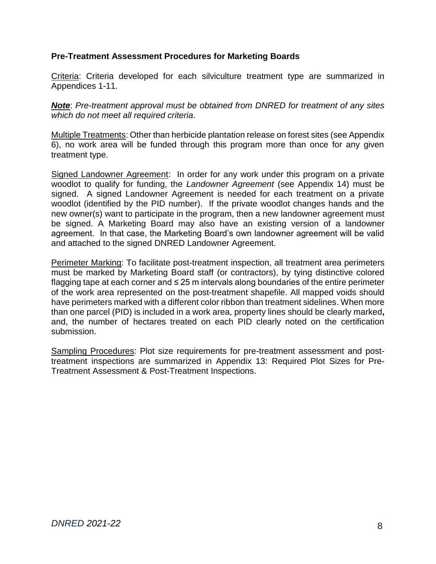#### <span id="page-7-0"></span>**Pre-Treatment Assessment Procedures for Marketing Boards**

Criteria: Criteria developed for each silviculture treatment type are summarized in Appendices 1-11.

*Note*: *Pre-treatment approval must be obtained from DNRED for treatment of any sites which do not meet all required criteria*.

Multiple Treatments: Other than herbicide plantation release on forest sites (see Appendix 6), no work area will be funded through this program more than once for any given treatment type.

Signed Landowner Agreement: In order for any work under this program on a private woodlot to qualify for funding, the *Landowner Agreement* (see Appendix 14) must be signed. A signed Landowner Agreement is needed for each treatment on a private woodlot (identified by the PID number). If the private woodlot changes hands and the new owner(s) want to participate in the program, then a new landowner agreement must be signed. A Marketing Board may also have an existing version of a landowner agreement. In that case, the Marketing Board's own landowner agreement will be valid and attached to the signed DNRED Landowner Agreement.

Perimeter Marking: To facilitate post-treatment inspection, all treatment area perimeters must be marked by Marketing Board staff (or contractors), by tying distinctive colored flagging tape at each corner and ≤ 25 m intervals along boundaries of the entire perimeter of the work area represented on the post-treatment shapefile. All mapped voids should have perimeters marked with a different color ribbon than treatment sidelines. When more than one parcel (PID) is included in a work area, property lines should be clearly marked**,**  and, the number of hectares treated on each PID clearly noted on the certification submission.

Sampling Procedures: Plot size requirements for pre-treatment assessment and posttreatment inspections are summarized in [Appendix 13: Required Plot Sizes](#page-33-0) for Pre-Treatment [Assessment & Post-Treatment Inspections.](#page-33-0)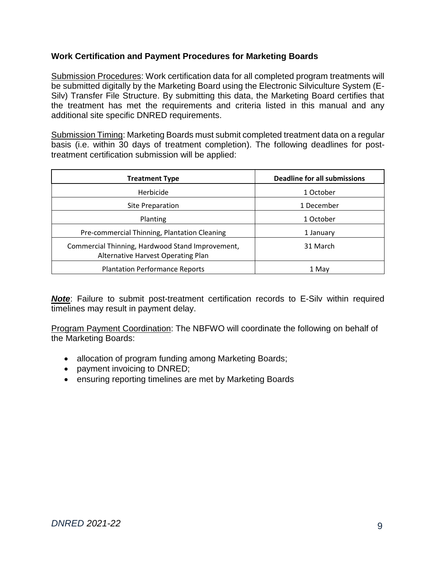#### <span id="page-8-0"></span>**Work Certification and Payment Procedures for Marketing Boards**

Submission Procedures: Work certification data for all completed program treatments will be submitted digitally by the Marketing Board using the Electronic Silviculture System (E-Silv) Transfer File Structure. By submitting this data, the Marketing Board certifies that the treatment has met the requirements and criteria listed in this manual and any additional site specific DNRED requirements.

Submission Timing: Marketing Boards must submit completed treatment data on a regular basis (i.e. within 30 days of treatment completion). The following deadlines for posttreatment certification submission will be applied:

| <b>Treatment Type</b>                                                                  | <b>Deadline for all submissions</b> |
|----------------------------------------------------------------------------------------|-------------------------------------|
| Herbicide                                                                              | 1 October                           |
| Site Preparation                                                                       | 1 December                          |
| Planting                                                                               | 1 October                           |
| Pre-commercial Thinning, Plantation Cleaning                                           | 1 January                           |
| Commercial Thinning, Hardwood Stand Improvement,<br>Alternative Harvest Operating Plan | 31 March                            |
| <b>Plantation Performance Reports</b>                                                  | 1 May                               |

**Note:** Failure to submit post-treatment certification records to E-Silv within required timelines may result in payment delay.

Program Payment Coordination: The NBFWO will coordinate the following on behalf of the Marketing Boards:

- allocation of program funding among Marketing Boards;
- payment invoicing to DNRED;
- <span id="page-8-1"></span>• ensuring reporting timelines are met by Marketing Boards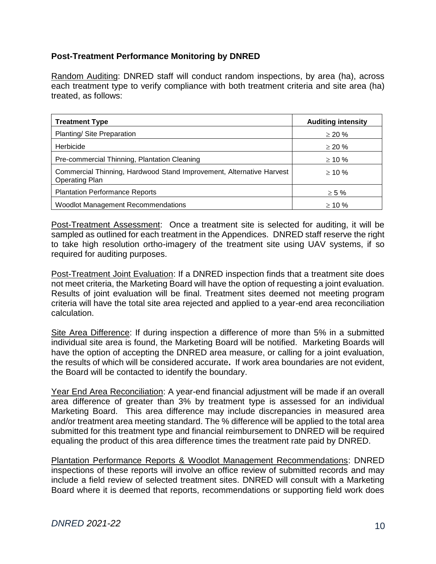#### **Post-Treatment Performance Monitoring by DNRED**

Random Auditing: DNRED staff will conduct random inspections, by area (ha), across each treatment type to verify compliance with both treatment criteria and site area (ha) treated, as follows:

| <b>Treatment Type</b>                                                                         | <b>Auditing intensity</b> |
|-----------------------------------------------------------------------------------------------|---------------------------|
| Planting/ Site Preparation                                                                    | $\geq$ 20 %               |
| Herbicide                                                                                     | $\geq$ 20 %               |
| Pre-commercial Thinning, Plantation Cleaning                                                  | $\geq 10 \%$              |
| Commercial Thinning, Hardwood Stand Improvement, Alternative Harvest<br><b>Operating Plan</b> | $> 10 \%$                 |
| <b>Plantation Performance Reports</b>                                                         | $\geq 5\%$                |
| <b>Woodlot Management Recommendations</b>                                                     | $> 10 \%$                 |

Post-Treatment Assessment: Once a treatment site is selected for auditing, it will be sampled as outlined for each treatment in the Appendices. DNRED staff reserve the right to take high resolution ortho-imagery of the treatment site using UAV systems, if so required for auditing purposes.

Post-Treatment Joint Evaluation: If a DNRED inspection finds that a treatment site does not meet criteria, the Marketing Board will have the option of requesting a joint evaluation. Results of joint evaluation will be final. Treatment sites deemed not meeting program criteria will have the total site area rejected and applied to a year-end area reconciliation calculation.

Site Area Difference: If during inspection a difference of more than 5% in a submitted individual site area is found, the Marketing Board will be notified. Marketing Boards will have the option of accepting the DNRED area measure, or calling for a joint evaluation, the results of which will be considered accurate**.** If work area boundaries are not evident, the Board will be contacted to identify the boundary.

Year End Area Reconciliation: A year-end financial adjustment will be made if an overall area difference of greater than 3% by treatment type is assessed for an individual Marketing Board. This area difference may include discrepancies in measured area and/or treatment area meeting standard. The % difference will be applied to the total area submitted for this treatment type and financial reimbursement to DNRED will be required equaling the product of this area difference times the treatment rate paid by DNRED.

Plantation Performance Reports & Woodlot Management Recommendations: DNRED inspections of these reports will involve an office review of submitted records and may include a field review of selected treatment sites. DNRED will consult with a Marketing Board where it is deemed that reports, recommendations or supporting field work does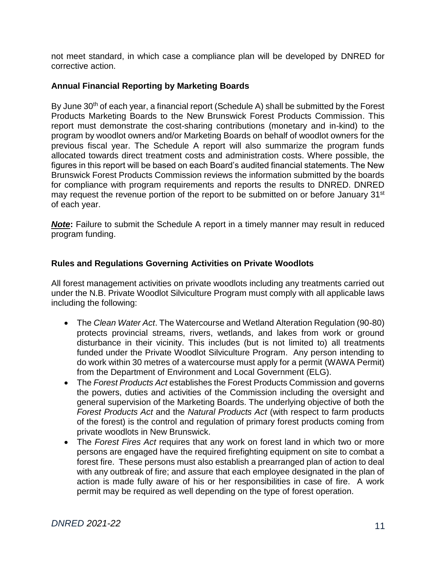not meet standard, in which case a compliance plan will be developed by DNRED for corrective action.

#### <span id="page-10-0"></span>**Annual Financial Reporting by Marketing Boards**

By June 30<sup>th</sup> of each year, a financial report (Schedule A) shall be submitted by the Forest Products Marketing Boards to the New Brunswick Forest Products Commission. This report must demonstrate the cost-sharing contributions (monetary and in-kind) to the program by woodlot owners and/or Marketing Boards on behalf of woodlot owners for the previous fiscal year. The Schedule A report will also summarize the program funds allocated towards direct treatment costs and administration costs. Where possible, the figures in this report will be based on each Board's audited financial statements. The New Brunswick Forest Products Commission reviews the information submitted by the boards for compliance with program requirements and reports the results to DNRED. DNRED may request the revenue portion of the report to be submitted on or before January 31<sup>st</sup> of each year.

**Note:** Failure to submit the Schedule A report in a timely manner may result in reduced program funding.

#### <span id="page-10-1"></span>**Rules and Regulations Governing Activities on Private Woodlots**

All forest management activities on private woodlots including any treatments carried out under the N.B. Private Woodlot Silviculture Program must comply with all applicable laws including the following:

- The *Clean Water Act*. The Watercourse and Wetland Alteration Regulation (90-80) protects provincial streams, rivers, wetlands, and lakes from work or ground disturbance in their vicinity. This includes (but is not limited to) all treatments funded under the Private Woodlot Silviculture Program. Any person intending to do work within 30 metres of a watercourse must apply for a permit (WAWA Permit) from the Department of Environment and Local Government (ELG).
- The *Forest Products Act* establishes the Forest Products Commission and governs the powers, duties and activities of the Commission including the oversight and general supervision of the Marketing Boards. The underlying objective of both the *Forest Products Act* and the *Natural Products Act* (with respect to farm products of the forest) is the control and regulation of primary forest products coming from private woodlots in New Brunswick.
- The *Forest Fires Act* requires that any work on forest land in which two or more persons are engaged have the required firefighting equipment on site to combat a forest fire. These persons must also establish a prearranged plan of action to deal with any outbreak of fire; and assure that each employee designated in the plan of action is made fully aware of his or her responsibilities in case of fire. A work permit may be required as well depending on the type of forest operation.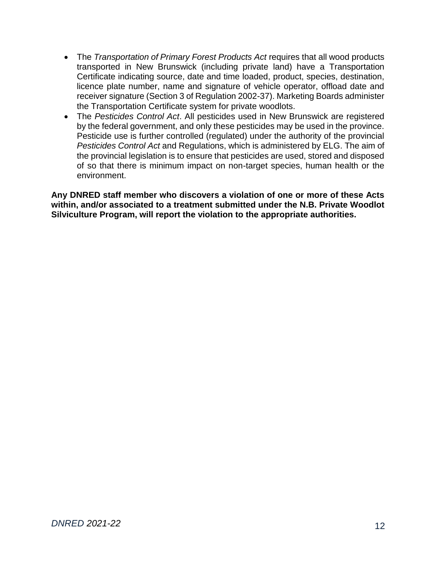- The *Transportation of Primary Forest Products Act* requires that all wood products transported in New Brunswick (including private land) have a Transportation Certificate indicating source, date and time loaded, product, species, destination, licence plate number, name and signature of vehicle operator, offload date and receiver signature (Section 3 of Regulation 2002-37). Marketing Boards administer the Transportation Certificate system for private woodlots.
- The *Pesticides Control Act*. All pesticides used in New Brunswick are registered by the federal government, and only these pesticides may be used in the province. Pesticide use is further controlled (regulated) under the authority of the provincial *Pesticides Control Act* and Regulations, which is administered by ELG. The aim of the provincial legislation is to ensure that pesticides are used, stored and disposed of so that there is minimum impact on non-target species, human health or the environment.

**Any DNRED staff member who discovers a violation of one or more of these Acts within, and/or associated to a treatment submitted under the N.B. Private Woodlot Silviculture Program, will report the violation to the appropriate authorities.**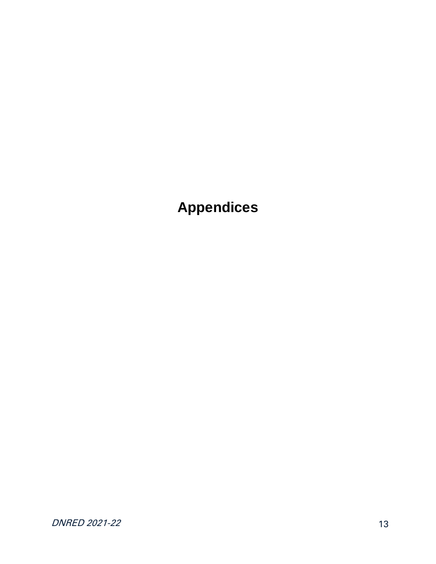## <span id="page-12-0"></span>**Appendices**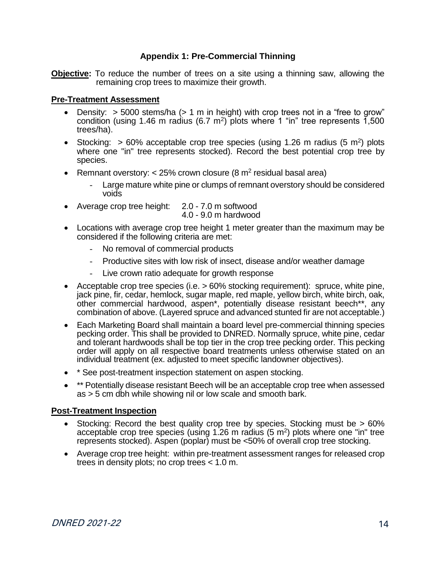#### **Appendix 1: Pre-Commercial Thinning**

<span id="page-13-0"></span>**Objective:** To reduce the number of trees on a site using a thinning saw, allowing the remaining crop trees to maximize their growth.

#### **Pre-Treatment Assessment**

- Density:  $>$  5000 stems/ha ( $>$  1 m in height) with crop trees not in a "free to grow" condition (using 1.46 m radius (6.7 m<sup>2</sup>) plots where 1 "in" tree represents  $1,500$ trees/ha).
- Stocking:  $> 60\%$  acceptable crop tree species (using 1.26 m radius (5 m<sup>2</sup>) plots where one "in" tree represents stocked). Record the best potential crop tree by species.
- Remnant overstory: < 25% crown closure (8  $m<sup>2</sup>$  residual basal area)
	- Large mature white pine or clumps of remnant overstory should be considered voids
- Average crop tree height: 2.0 7.0 m softwood 4.0 - 9.0 m hardwood
- Locations with average crop tree height 1 meter greater than the maximum may be considered if the following criteria are met:
	- No removal of commercial products
	- Productive sites with low risk of insect, disease and/or weather damage
	- Live crown ratio adequate for growth response
- Acceptable crop tree species (i.e. > 60% stocking requirement): spruce, white pine, jack pine, fir, cedar, hemlock, sugar maple, red maple, yellow birch, white birch, oak, other commercial hardwood, aspen\*, potentially disease resistant beech\*\*, any combination of above. (Layered spruce and advanced stunted fir are not acceptable.)
- Each Marketing Board shall maintain a board level pre-commercial thinning species pecking order. This shall be provided to DNRED. Normally spruce, white pine, cedar and tolerant hardwoods shall be top tier in the crop tree pecking order. This pecking order will apply on all respective board treatments unless otherwise stated on an individual treatment (ex. adjusted to meet specific landowner objectives).
- \* See post-treatment inspection statement on aspen stocking.
- \*\* Potentially disease resistant Beech will be an acceptable crop tree when assessed as > 5 cm dbh while showing nil or low scale and smooth bark.

#### **Post-Treatment Inspection**

- Stocking: Record the best quality crop tree by species. Stocking must be > 60% acceptable crop tree species (using 1.26 m radius (5 m<sup>2</sup> ) plots where one "in" tree represents stocked). Aspen (poplar) must be <50% of overall crop tree stocking.
- Average crop tree height: within pre-treatment assessment ranges for released crop trees in density plots; no crop trees < 1.0 m.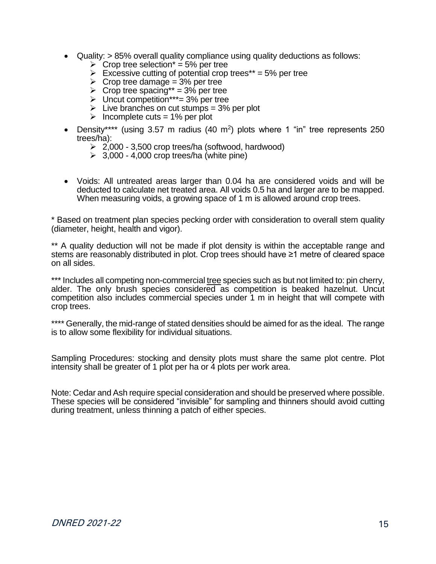- Quality: > 85% overall quality compliance using quality deductions as follows:
	- $\triangleright$  Crop tree selection<sup>\*</sup> = 5% per tree
	- $\triangleright$  Excessive cutting of potential crop trees\*\* = 5% per tree
	- $\triangleright$  Crop tree damage = 3% per tree
	- $\geq$  Crop tree spacing\*\* = 3% per tree
	- $\triangleright$  Uncut competition<sup>\*\*\*</sup>= 3% per tree
	- $\triangleright$  Live branches on cut stumps = 3% per plot
	- $\triangleright$  Incomplete cuts = 1% per plot
- Density\*\*\*\* (using 3.57 m radius (40 m<sup>2</sup>) plots where 1 "in" tree represents 250 trees/ha):
	- ➢ 2,000 3,500 crop trees/ha (softwood, hardwood)
	- $\geq$  3,000 4,000 crop trees/ha (white pine)
- Voids: All untreated areas larger than 0.04 ha are considered voids and will be deducted to calculate net treated area. All voids 0.5 ha and larger are to be mapped. When measuring voids, a growing space of 1 m is allowed around crop trees.

\* Based on treatment plan species pecking order with consideration to overall stem quality (diameter, height, health and vigor).

\*\* A quality deduction will not be made if plot density is within the acceptable range and stems are reasonably distributed in plot. Crop trees should have ≥1 metre of cleared space on all sides.

\*\*\* Includes all competing non-commercial tree species such as but not limited to: pin cherry, alder. The only brush species considered as competition is beaked hazelnut. Uncut competition also includes commercial species under 1 m in height that will compete with crop trees.

\*\*\*\* Generally, the mid-range of stated densities should be aimed for as the ideal. The range is to allow some flexibility for individual situations.

Sampling Procedures: stocking and density plots must share the same plot centre. Plot intensity shall be greater of 1 plot per ha or 4 plots per work area.

Note: Cedar and Ash require special consideration and should be preserved where possible. These species will be considered "invisible" for sampling and thinners should avoid cutting during treatment, unless thinning a patch of either species.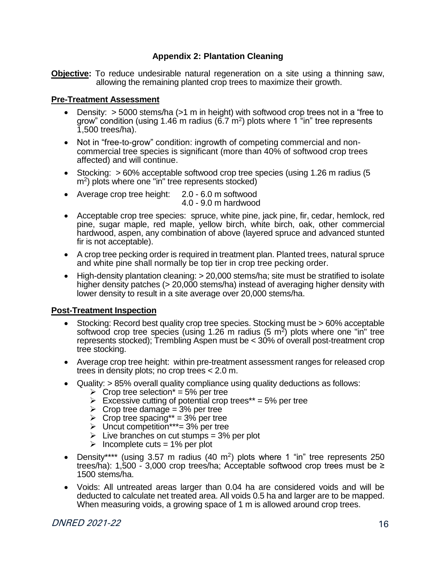#### **Appendix 2: Plantation Cleaning**

<span id="page-15-0"></span>**Objective:** To reduce undesirable natural regeneration on a site using a thinning saw, allowing the remaining planted crop trees to maximize their growth.

#### **Pre-Treatment Assessment**

- Density:  $>$  5000 stems/ha ( $>1$  m in height) with softwood crop trees not in a "free to grow" condition (using 1.46 m radius (6.7  $\text{m}^2$ ) plots where 1 "in" tree represents 1,500 trees/ha).
- Not in "free-to-grow" condition: ingrowth of competing commercial and noncommercial tree species is significant (more than 40% of softwood crop trees affected) and will continue.
- Stocking: > 60% acceptable softwood crop tree species (using 1.26 m radius (5 m<sup>2</sup> ) plots where one "in" tree represents stocked)
- Average crop tree height: 2.0 6.0 m softwood 4.0 - 9.0 m hardwood
- Acceptable crop tree species: spruce, white pine, jack pine, fir, cedar, hemlock, red pine, sugar maple, red maple, yellow birch, white birch, oak, other commercial hardwood, aspen, any combination of above (layered spruce and advanced stunted fir is not acceptable).
- A crop tree pecking order is required in treatment plan. Planted trees, natural spruce and white pine shall normally be top tier in crop tree pecking order.
- High-density plantation cleaning: > 20,000 stems/ha; site must be stratified to isolate higher density patches (> 20,000 stems/ha) instead of averaging higher density with lower density to result in a site average over 20,000 stems/ha.

#### **Post-Treatment Inspection**

- Stocking: Record best quality crop tree species. Stocking must be > 60% acceptable softwood crop tree species (using 1.26 m radius (5  $m^2$ ) plots where one "in" tree represents stocked); Trembling Aspen must be < 30% of overall post-treatment crop tree stocking.
- Average crop tree height: within pre-treatment assessment ranges for released crop trees in density plots; no crop trees < 2.0 m.
- Quality: > 85% overall quality compliance using quality deductions as follows:
	- $\geq$  Crop tree selection<sup>\*</sup> = 5% per tree
	- $\triangleright$  Excessive cutting of potential crop trees\*\* = 5% per tree
	- $\triangleright$  Crop tree damage = 3% per tree
	- $\triangleright$  Crop tree spacing\*\* = 3% per tree
	- $\triangleright$  Uncut competition\*\*\*= 3% per tree
	- $\triangleright$  Live branches on cut stumps = 3% per plot
	- $\triangleright$  Incomplete cuts = 1% per plot
- Density\*\*\*\* (using 3.57 m radius  $(40 \text{ m}^2)$  plots where 1 "in" tree represents 250 trees/ha): 1,500 - 3,000 crop trees/ha; Acceptable softwood crop trees must be  $\ge$ 1500 stems/ha.
- Voids: All untreated areas larger than 0.04 ha are considered voids and will be deducted to calculate net treated area. All voids 0.5 ha and larger are to be mapped. When measuring voids, a growing space of 1 m is allowed around crop trees.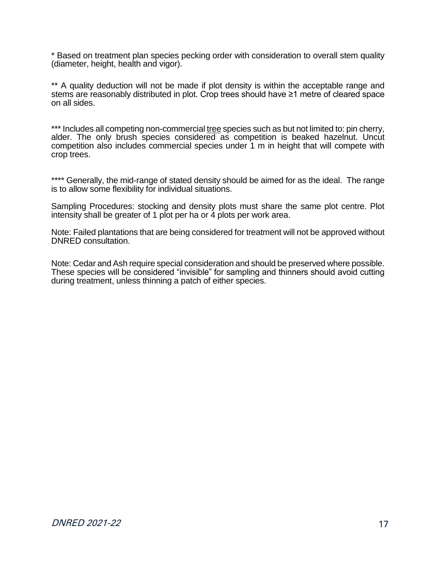\* Based on treatment plan species pecking order with consideration to overall stem quality (diameter, height, health and vigor).

\*\* A quality deduction will not be made if plot density is within the acceptable range and stems are reasonably distributed in plot. Crop trees should have ≥1 metre of cleared space on all sides.

\*\*\* Includes all competing non-commercial tree species such as but not limited to: pin cherry, alder. The only brush species considered as competition is beaked hazelnut. Uncut competition also includes commercial species under 1 m in height that will compete with crop trees.

\*\*\*\* Generally, the mid-range of stated density should be aimed for as the ideal. The range is to allow some flexibility for individual situations.

Sampling Procedures: stocking and density plots must share the same plot centre. Plot intensity shall be greater of 1 plot per ha or 4 plots per work area.

Note: Failed plantations that are being considered for treatment will not be approved without DNRED consultation.

Note: Cedar and Ash require special consideration and should be preserved where possible. These species will be considered "invisible" for sampling and thinners should avoid cutting during treatment, unless thinning a patch of either species.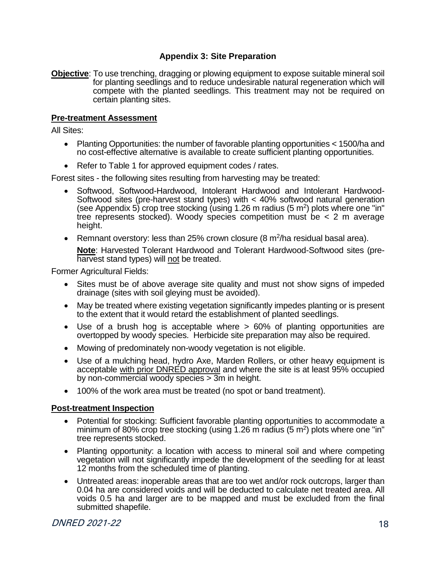#### **Appendix 3: Site Preparation**

<span id="page-17-0"></span>**Objective**: To use trenching, dragging or plowing equipment to expose suitable mineral soil for planting seedlings and to reduce undesirable natural regeneration which will compete with the planted seedlings. This treatment may not be required on certain planting sites.

#### **Pre-treatment Assessment**

All Sites:

- Planting Opportunities: the number of favorable planting opportunities < 1500/ha and no cost-effective alternative is available to create sufficient planting opportunities.
- Refer to Table 1 for approved equipment codes / rates.

Forest sites - the following sites resulting from harvesting may be treated:

- Softwood, Softwood-Hardwood, Intolerant Hardwood and Intolerant Hardwood-Softwood sites (pre-harvest stand types) with < 40% softwood natural generation (see Appendix 5) crop tree stocking (using 1.26 m radius (5 m<sup>2</sup>) plots where one "in" tree represents stocked). Woody species competition must be < 2 m average height.
- Remnant overstory: less than 25% crown closure  $(8 \text{ m}^2/\text{ha} \text{ residual} \text{ basal} \text{ area})$ .

**Note**: Harvested Tolerant Hardwood and Tolerant Hardwood-Softwood sites (preharvest stand types) will not be treated.

Former Agricultural Fields:

- Sites must be of above average site quality and must not show signs of impeded drainage (sites with soil gleying must be avoided).
- May be treated where existing vegetation significantly impedes planting or is present to the extent that it would retard the establishment of planted seedlings.
- Use of a brush hog is acceptable where > 60% of planting opportunities are overtopped by woody species. Herbicide site preparation may also be required.
- Mowing of predominately non-woody vegetation is not eligible.
- Use of a mulching head, hydro Axe, Marden Rollers, or other heavy equipment is acceptable with prior DNRED approval and where the site is at least 95% occupied by non-commercial woody species > 3m in height.
- 100% of the work area must be treated (no spot or band treatment).

#### **Post-treatment Inspection**

- Potential for stocking: Sufficient favorable planting opportunities to accommodate a minimum of 80% crop tree stocking (using 1.26 m radius (5 m<sup>2</sup>) plots where one "in" tree represents stocked.
- Planting opportunity: a location with access to mineral soil and where competing vegetation will not significantly impede the development of the seedling for at least 12 months from the scheduled time of planting.
- Untreated areas: inoperable areas that are too wet and/or rock outcrops, larger than 0.04 ha are considered voids and will be deducted to calculate net treated area. All voids 0.5 ha and larger are to be mapped and must be excluded from the final submitted shapefile.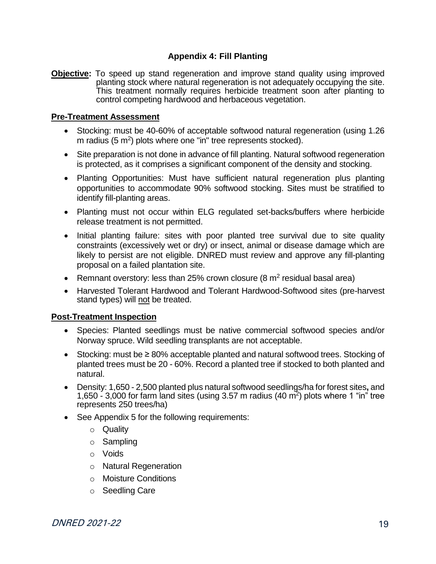#### **Appendix 4: Fill Planting**

<span id="page-18-0"></span>**Objective:** To speed up stand regeneration and improve stand quality using improved planting stock where natural regeneration is not adequately occupying the site. This treatment normally requires herbicide treatment soon after planting to control competing hardwood and herbaceous vegetation.

#### **Pre-Treatment Assessment**

- Stocking: must be 40-60% of acceptable softwood natural regeneration (using 1.26 m radius  $(5 \text{ m}^2)$  plots where one "in" tree represents stocked).
- Site preparation is not done in advance of fill planting. Natural softwood regeneration is protected, as it comprises a significant component of the density and stocking.
- Planting Opportunities: Must have sufficient natural regeneration plus planting opportunities to accommodate 90% softwood stocking. Sites must be stratified to identify fill-planting areas.
- Planting must not occur within ELG regulated set-backs/buffers where herbicide release treatment is not permitted.
- Initial planting failure: sites with poor planted tree survival due to site quality constraints (excessively wet or dry) or insect, animal or disease damage which are likely to persist are not eligible. DNRED must review and approve any fill-planting proposal on a failed plantation site.
- Remnant overstory: less than 25% crown closure  $(8 \text{ m}^2 \text{ residual basal area})$
- Harvested Tolerant Hardwood and Tolerant Hardwood-Softwood sites (pre-harvest stand types) will not be treated.

#### **Post-Treatment Inspection**

- Species: Planted seedlings must be native commercial softwood species and/or Norway spruce. Wild seedling transplants are not acceptable.
- Stocking: must be ≥ 80% acceptable planted and natural softwood trees. Stocking of planted trees must be 20 - 60%. Record a planted tree if stocked to both planted and natural.
- Density: 1,650 2,500 planted plus natural softwood seedlings/ha for forest sites**,** and 1,650 - 3,000 for farm land sites (using 3.57 m radius (40  $\mathrm{m}^2$ ) plots where 1 "in" tree represents 250 trees/ha)
- See Appendix 5 for the following requirements:
	- o Quality
	- o Sampling
	- o Voids
	- o Natural Regeneration
	- o Moisture Conditions
	- o Seedling Care

**DNRED 2021-22** 19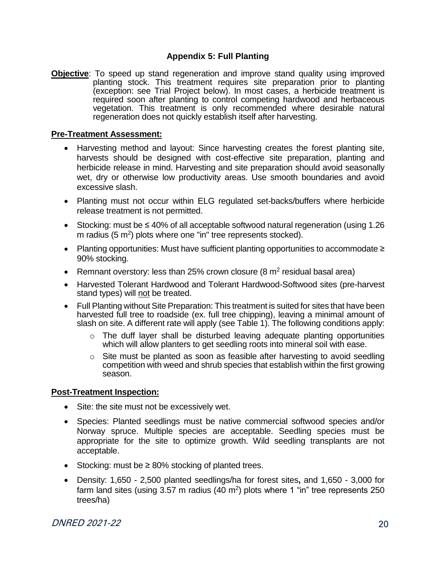#### **Appendix 5: Full Planting**

<span id="page-19-0"></span>**Objective**: To speed up stand regeneration and improve stand quality using improved planting stock. This treatment requires site preparation prior to planting (exception: see Trial Project below). In most cases, a herbicide treatment is required soon after planting to control competing hardwood and herbaceous vegetation. This treatment is only recommended where desirable natural regeneration does not quickly establish itself after harvesting.

#### **Pre-Treatment Assessment:**

- Harvesting method and layout: Since harvesting creates the forest planting site, harvests should be designed with cost-effective site preparation, planting and herbicide release in mind. Harvesting and site preparation should avoid seasonally wet, dry or otherwise low productivity areas. Use smooth boundaries and avoid excessive slash.
- Planting must not occur within ELG regulated set-backs/buffers where herbicide release treatment is not permitted.
- Stocking: must be ≤ 40% of all acceptable softwood natural regeneration (using 1.26 m radius (5 m<sup>2</sup>) plots where one "in" tree represents stocked).
- Planting opportunities: Must have sufficient planting opportunities to accommodate ≥ 90% stocking.
- Remnant overstory: less than 25% crown closure (8  $m<sup>2</sup>$  residual basal area)
- Harvested Tolerant Hardwood and Tolerant Hardwood-Softwood sites (pre-harvest stand types) will not be treated.
- Full Planting without Site Preparation: This treatment is suited for sites that have been harvested full tree to roadside (ex. full tree chipping), leaving a minimal amount of slash on site. A different rate will apply (see Table 1). The following conditions apply:
	- $\circ$  The duff layer shall be disturbed leaving adequate planting opportunities which will allow planters to get seedling roots into mineral soil with ease.
	- o Site must be planted as soon as feasible after harvesting to avoid seedling competition with weed and shrub species that establish within the first growing season.

#### **Post-Treatment Inspection:**

- Site: the site must not be excessively wet.
- Species: Planted seedlings must be native commercial softwood species and/or Norway spruce. Multiple species are acceptable. Seedling species must be appropriate for the site to optimize growth. Wild seedling transplants are not acceptable.
- Stocking: must be ≥ 80% stocking of planted trees.
- Density: 1,650 2,500 planted seedlings/ha for forest sites**,** and 1,650 3,000 for farm land sites (using 3.57 m radius (40 m<sup>2</sup>) plots where 1 "in" tree represents 250 trees/ha)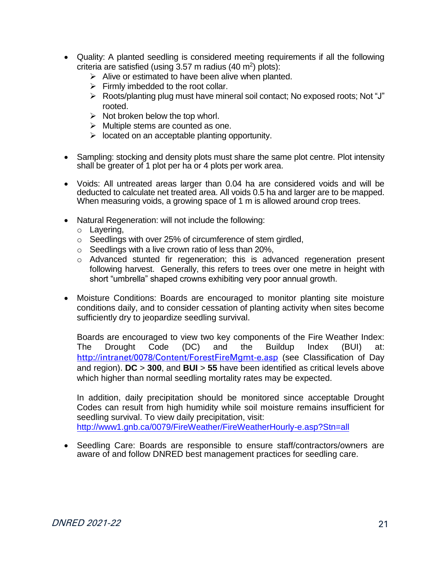- Quality: A planted seedling is considered meeting requirements if all the following criteria are satisfied (using  $3.57$  m radius (40 m<sup>2</sup>) plots):
	- $\triangleright$  Alive or estimated to have been alive when planted.
	- $\triangleright$  Firmly imbedded to the root collar.
	- ➢ Roots/planting plug must have mineral soil contact; No exposed roots; Not "J" rooted.
	- $\triangleright$  Not broken below the top whorl.
	- $\triangleright$  Multiple stems are counted as one.
	- $\triangleright$  located on an acceptable planting opportunity.
- Sampling: stocking and density plots must share the same plot centre. Plot intensity shall be greater of 1 plot per ha or 4 plots per work area.
- Voids: All untreated areas larger than 0.04 ha are considered voids and will be deducted to calculate net treated area. All voids 0.5 ha and larger are to be mapped. When measuring voids, a growing space of 1 m is allowed around crop trees.
- Natural Regeneration: will not include the following:
	- o Layering,
	- o Seedlings with over 25% of circumference of stem girdled,
	- $\circ$  Seedlings with a live crown ratio of less than 20%,
	- o Advanced stunted fir regeneration; this is advanced regeneration present following harvest. Generally, this refers to trees over one metre in height with short "umbrella" shaped crowns exhibiting very poor annual growth.
- Moisture Conditions: Boards are encouraged to monitor planting site moisture conditions daily, and to consider cessation of planting activity when sites become sufficiently dry to jeopardize seedling survival.

Boards are encouraged to view two key components of the Fire Weather Index: The Drought Code (DC) and the Buildup Index (BUI) at: <http://intranet/0078/Content/ForestFireMgmt-e.asp> (see Classification of Day and region). **DC** > **300**, and **BUI** > **55** have been identified as critical levels above which higher than normal seedling mortality rates may be expected.

In addition, daily precipitation should be monitored since acceptable Drought Codes can result from high humidity while soil moisture remains insufficient for seedling survival. To view daily precipitation, visit: <http://www1.gnb.ca/0079/FireWeather/FireWeatherHourly-e.asp?Stn=all>

• Seedling Care: Boards are responsible to ensure staff/contractors/owners are aware of and follow DNRED best management practices for seedling care.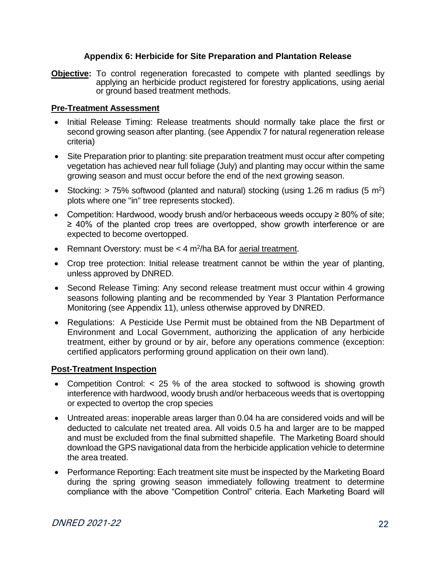#### **Appendix 6: Herbicide for Site Preparation and Plantation Release**

<span id="page-21-0"></span>**Objective:** To control regeneration forecasted to compete with planted seedlings by applying an herbicide product registered for forestry applications, using aerial or ground based treatment methods.

#### **Pre-Treatment Assessment**

- Initial Release Timing: Release treatments should normally take place the first or second growing season after planting. (see Appendix 7 for natural regeneration release criteria)
- Site Preparation prior to planting: site preparation treatment must occur after competing vegetation has achieved near full foliage (July) and planting may occur within the same growing season and must occur before the end of the next growing season.
- Stocking:  $> 75\%$  softwood (planted and natural) stocking (using 1.26 m radius (5 m<sup>2</sup>) plots where one "in" tree represents stocked).
- Competition: Hardwood, woody brush and/or herbaceous weeds occupy ≥ 80% of site; ≥ 40% of the planted crop trees are overtopped, show growth interference or are expected to become overtopped.
- Remnant Overstory: must be < 4 m<sup>2</sup>/ha BA for aerial treatment.
- Crop tree protection: Initial release treatment cannot be within the year of planting, unless approved by DNRED.
- Second Release Timing: Any second release treatment must occur within 4 growing seasons following planting and be recommended by Year 3 Plantation Performance Monitoring (see Appendix 11), unless otherwise approved by DNRED.
- Regulations: A Pesticide Use Permit must be obtained from the NB Department of Environment and Local Government, authorizing the application of any herbicide treatment, either by ground or by air, before any operations commence (exception: certified applicators performing ground application on their own land).

#### **Post-Treatment Inspection**

- Competition Control: < 25 % of the area stocked to softwood is showing growth interference with hardwood, woody brush and/or herbaceous weeds that is overtopping or expected to overtop the crop species
- Untreated areas: inoperable areas larger than 0.04 ha are considered voids and will be deducted to calculate net treated area. All voids 0.5 ha and larger are to be mapped and must be excluded from the final submitted shapefile. The Marketing Board should download the GPS navigational data from the herbicide application vehicle to determine the area treated.
- Performance Reporting: Each treatment site must be inspected by the Marketing Board during the spring growing season immediately following treatment to determine compliance with the above "Competition Control" criteria. Each Marketing Board will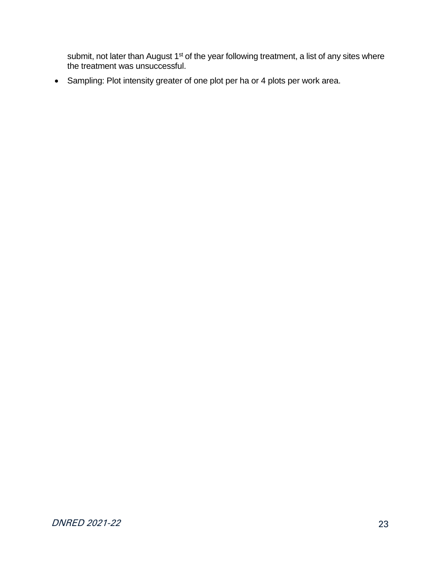submit, not later than August 1<sup>st</sup> of the year following treatment, a list of any sites where the treatment was unsuccessful.

• Sampling: Plot intensity greater of one plot per ha or 4 plots per work area.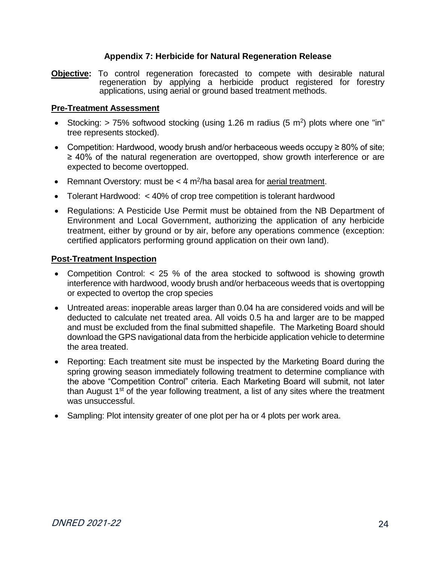#### **Appendix 7: Herbicide for Natural Regeneration Release**

<span id="page-23-0"></span>**Objective:** To control regeneration forecasted to compete with desirable natural regeneration by applying a herbicide product registered for forestry applications, using aerial or ground based treatment methods.

#### **Pre-Treatment Assessment**

- Stocking:  $> 75\%$  softwood stocking (using 1.26 m radius (5 m<sup>2</sup>) plots where one "in" tree represents stocked).
- Competition: Hardwood, woody brush and/or herbaceous weeds occupy ≥ 80% of site; ≥ 40% of the natural regeneration are overtopped, show growth interference or are expected to become overtopped.
- Remnant Overstory: must be  $<$  4 m<sup>2</sup>/ha basal area for *aerial treatment*.
- Tolerant Hardwood: < 40% of crop tree competition is tolerant hardwood
- Regulations: A Pesticide Use Permit must be obtained from the NB Department of Environment and Local Government, authorizing the application of any herbicide treatment, either by ground or by air, before any operations commence (exception: certified applicators performing ground application on their own land).

#### **Post-Treatment Inspection**

- Competition Control: < 25 % of the area stocked to softwood is showing growth interference with hardwood, woody brush and/or herbaceous weeds that is overtopping or expected to overtop the crop species
- Untreated areas: inoperable areas larger than 0.04 ha are considered voids and will be deducted to calculate net treated area. All voids 0.5 ha and larger are to be mapped and must be excluded from the final submitted shapefile. The Marketing Board should download the GPS navigational data from the herbicide application vehicle to determine the area treated.
- Reporting: Each treatment site must be inspected by the Marketing Board during the spring growing season immediately following treatment to determine compliance with the above "Competition Control" criteria. Each Marketing Board will submit, not later than August  $1<sup>st</sup>$  of the year following treatment, a list of any sites where the treatment was unsuccessful.
- Sampling: Plot intensity greater of one plot per ha or 4 plots per work area.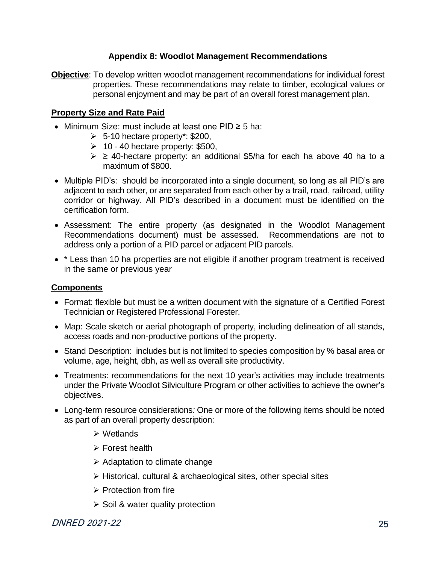#### **Appendix 8: Woodlot Management Recommendations**

<span id="page-24-0"></span>**Objective**: To develop written woodlot management recommendations for individual forest properties. These recommendations may relate to timber, ecological values or personal enjoyment and may be part of an overall forest management plan.

#### **Property Size and Rate Paid**

- Minimum Size: must include at least one PID ≥ 5 ha:
	- $\geq$  5-10 hectare property\*: \$200,
	- $\geq 10 40$  hectare property: \$500,
	- $\geq$  2 40-hectare property: an additional \$5/ha for each ha above 40 ha to a maximum of \$800.
- Multiple PID's: should be incorporated into a single document, so long as all PID's are adjacent to each other, or are separated from each other by a trail, road, railroad, utility corridor or highway. All PID's described in a document must be identified on the certification form.
- Assessment: The entire property (as designated in the Woodlot Management Recommendations document) must be assessed. Recommendations are not to address only a portion of a PID parcel or adjacent PID parcels.
- \* Less than 10 ha properties are not eligible if another program treatment is received in the same or previous year

#### **Components**

- Format: flexible but must be a written document with the signature of a Certified Forest Technician or Registered Professional Forester.
- Map: Scale sketch or aerial photograph of property, including delineation of all stands, access roads and non-productive portions of the property.
- Stand Description: includes but is not limited to species composition by % basal area or volume, age, height, dbh, as well as overall site productivity.
- Treatments: recommendations for the next 10 year's activities may include treatments under the Private Woodlot Silviculture Program or other activities to achieve the owner's objectives.
- Long-term resource considerations*:* One or more of the following items should be noted as part of an overall property description:
	- ➢ Wetlands
	- ➢ Forest health
	- $\triangleright$  Adaptation to climate change
	- ➢ Historical, cultural & archaeological sites, other special sites
	- ➢ Protection from fire
	- $\geq$  Soil & water quality protection

DNRED 2021-22 25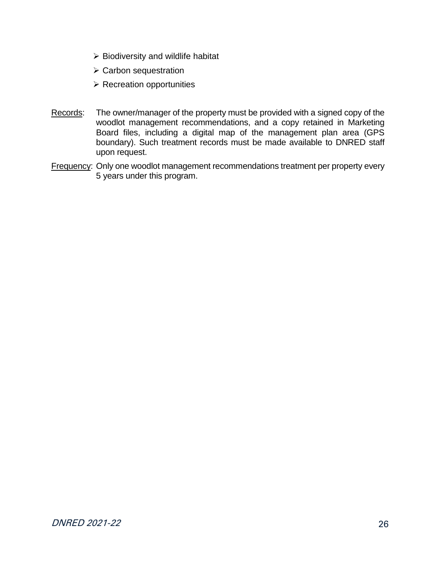- $\triangleright$  Biodiversity and wildlife habitat
- ➢ Carbon sequestration
- ➢ Recreation opportunities
- Records: The owner/manager of the property must be provided with a signed copy of the woodlot management recommendations, and a copy retained in Marketing Board files, including a digital map of the management plan area (GPS boundary). Such treatment records must be made available to DNRED staff upon request.
- Frequency: Only one woodlot management recommendations treatment per property every 5 years under this program.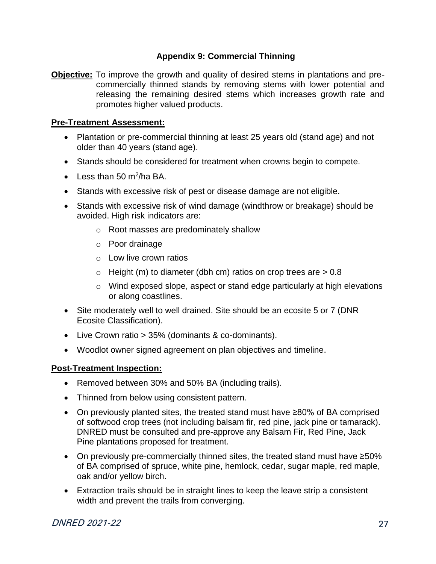#### **Appendix 9: Commercial Thinning**

<span id="page-26-0"></span>**Objective:** To improve the growth and quality of desired stems in plantations and precommercially thinned stands by removing stems with lower potential and releasing the remaining desired stems which increases growth rate and promotes higher valued products.

#### **Pre-Treatment Assessment:**

- Plantation or pre-commercial thinning at least 25 years old (stand age) and not older than 40 years (stand age).
- Stands should be considered for treatment when crowns begin to compete.
- Less than 50 m<sup>2</sup>/ha BA.
- Stands with excessive risk of pest or disease damage are not eligible.
- Stands with excessive risk of wind damage (windthrow or breakage) should be avoided. High risk indicators are:
	- o Root masses are predominately shallow
	- o Poor drainage
	- o Low live crown ratios
	- $\circ$  Height (m) to diameter (dbh cm) ratios on crop trees are  $> 0.8$
	- $\circ$  Wind exposed slope, aspect or stand edge particularly at high elevations or along coastlines.
- Site moderately well to well drained. Site should be an ecosite 5 or 7 (DNR Ecosite Classification).
- Live Crown ratio > 35% (dominants & co-dominants).
- Woodlot owner signed agreement on plan objectives and timeline.

#### **Post-Treatment Inspection:**

- Removed between 30% and 50% BA (including trails).
- Thinned from below using consistent pattern.
- On previously planted sites, the treated stand must have ≥80% of BA comprised of softwood crop trees (not including balsam fir, red pine, jack pine or tamarack). DNRED must be consulted and pre-approve any Balsam Fir, Red Pine, Jack Pine plantations proposed for treatment.
- On previously pre-commercially thinned sites, the treated stand must have ≥50% of BA comprised of spruce, white pine, hemlock, cedar, sugar maple, red maple, oak and/or yellow birch.
- Extraction trails should be in straight lines to keep the leave strip a consistent width and prevent the trails from converging.

#### DNRED 2021-22 27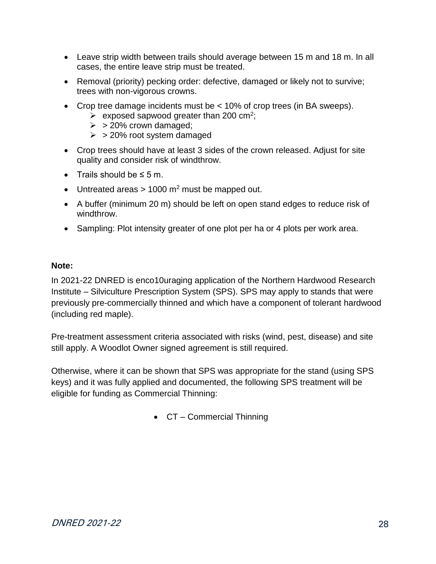- Leave strip width between trails should average between 15 m and 18 m. In all cases, the entire leave strip must be treated.
- Removal (priority) pecking order: defective, damaged or likely not to survive; trees with non-vigorous crowns.
- Crop tree damage incidents must be < 10% of crop trees (in BA sweeps).
	- $\triangleright$  exposed sapwood greater than 200 cm<sup>2</sup>;
	- $\geq$  > 20% crown damaged;
	- $\geq$  > 20% root system damaged
- Crop trees should have at least 3 sides of the crown released. Adjust for site quality and consider risk of windthrow.
- Trails should be  $\leq$  5 m.
- Untreated areas  $> 1000$  m<sup>2</sup> must be mapped out.
- A buffer (minimum 20 m) should be left on open stand edges to reduce risk of windthrow.
- Sampling: Plot intensity greater of one plot per ha or 4 plots per work area.

#### **Note:**

In 2021-22 DNRED is enco10uraging application of the Northern Hardwood Research Institute – Silviculture Prescription System (SPS). SPS may apply to stands that were previously pre-commercially thinned and which have a component of tolerant hardwood (including red maple).

Pre-treatment assessment criteria associated with risks (wind, pest, disease) and site still apply. A Woodlot Owner signed agreement is still required.

<span id="page-27-0"></span>Otherwise, where it can be shown that SPS was appropriate for the stand (using SPS keys) and it was fully applied and documented, the following SPS treatment will be eligible for funding as Commercial Thinning:

• CT – Commercial Thinning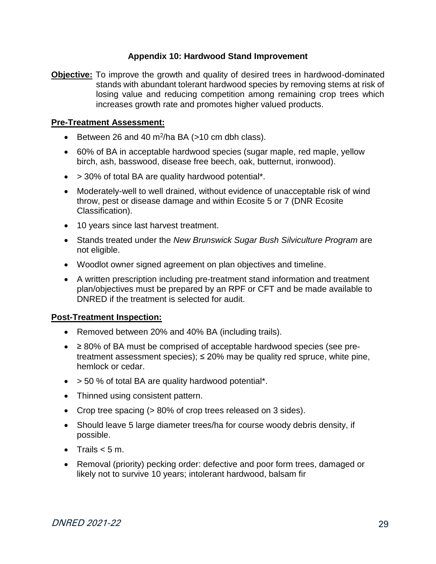#### **Appendix 10: Hardwood Stand Improvement**

**Objective:** To improve the growth and quality of desired trees in hardwood-dominated stands with abundant tolerant hardwood species by removing stems at risk of losing value and reducing competition among remaining crop trees which increases growth rate and promotes higher valued products.

#### **Pre-Treatment Assessment:**

- Eletween 26 and 40 m<sup>2</sup>/ha BA (>10 cm dbh class).
- 60% of BA in acceptable hardwood species (sugar maple, red maple, yellow birch, ash, basswood, disease free beech, oak, butternut, ironwood).
- > 30% of total BA are quality hardwood potential\*.
- Moderately-well to well drained, without evidence of unacceptable risk of wind throw, pest or disease damage and within Ecosite 5 or 7 (DNR Ecosite Classification).
- 10 years since last harvest treatment.
- Stands treated under the *New Brunswick Sugar Bush Silviculture Program* are not eligible.
- Woodlot owner signed agreement on plan objectives and timeline.
- A written prescription including pre-treatment stand information and treatment plan/objectives must be prepared by an RPF or CFT and be made available to DNRED if the treatment is selected for audit.

#### **Post-Treatment Inspection:**

- Removed between 20% and 40% BA (including trails).
- ≥ 80% of BA must be comprised of acceptable hardwood species (see pretreatment assessment species);  $\leq$  20% may be quality red spruce, white pine, hemlock or cedar.
- $\bullet$  > 50 % of total BA are quality hardwood potential\*.
- Thinned using consistent pattern.
- Crop tree spacing (> 80% of crop trees released on 3 sides).
- Should leave 5 large diameter trees/ha for course woody debris density, if possible.
- Trails  $< 5 m$ .
- Removal (priority) pecking order: defective and poor form trees, damaged or likely not to survive 10 years; intolerant hardwood, balsam fir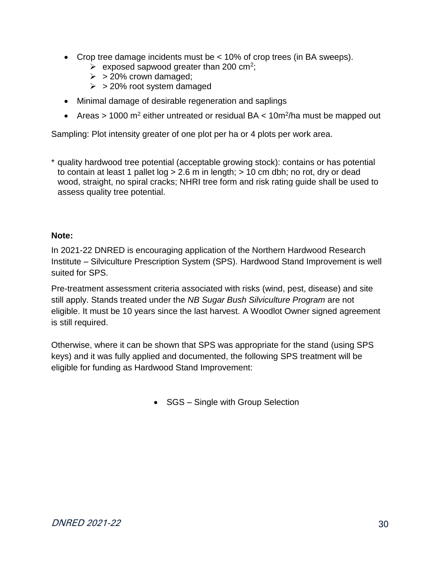- Crop tree damage incidents must be < 10% of crop trees (in BA sweeps).
	- $\triangleright$  exposed sapwood greater than 200 cm<sup>2</sup>;
	- $\geq$  > 20% crown damaged;
	- $>$  > 20% root system damaged
- Minimal damage of desirable regeneration and saplings
- Areas > 1000 m<sup>2</sup> either untreated or residual BA < 10m<sup>2</sup>/ha must be mapped out

Sampling: Plot intensity greater of one plot per ha or 4 plots per work area.

\* quality hardwood tree potential (acceptable growing stock): contains or has potential to contain at least 1 pallet  $log > 2.6$  m in length;  $> 10$  cm dbh; no rot, dry or dead wood, straight, no spiral cracks; NHRI tree form and risk rating guide shall be used to assess quality tree potential.

#### **Note:**

In 2021-22 DNRED is encouraging application of the Northern Hardwood Research Institute – Silviculture Prescription System (SPS). Hardwood Stand Improvement is well suited for SPS.

Pre-treatment assessment criteria associated with risks (wind, pest, disease) and site still apply. Stands treated under the *NB Sugar Bush Silviculture Program* are not eligible. It must be 10 years since the last harvest. A Woodlot Owner signed agreement is still required.

Otherwise, where it can be shown that SPS was appropriate for the stand (using SPS keys) and it was fully applied and documented, the following SPS treatment will be eligible for funding as Hardwood Stand Improvement:

<span id="page-29-0"></span>• SGS – Single with Group Selection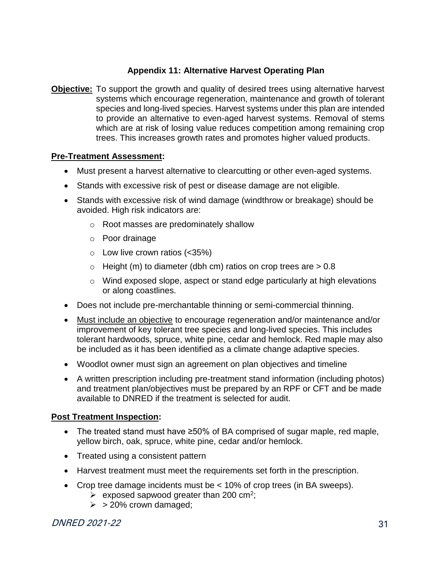#### **Appendix 11: Alternative Harvest Operating Plan**

**Objective:** To support the growth and quality of desired trees using alternative harvest systems which encourage regeneration, maintenance and growth of tolerant species and long-lived species. Harvest systems under this plan are intended to provide an alternative to even-aged harvest systems. Removal of stems which are at risk of losing value reduces competition among remaining crop trees. This increases growth rates and promotes higher valued products.

#### **Pre-Treatment Assessment:**

- Must present a harvest alternative to clearcutting or other even-aged systems.
- Stands with excessive risk of pest or disease damage are not eligible.
- Stands with excessive risk of wind damage (windthrow or breakage) should be avoided. High risk indicators are:
	- o Root masses are predominately shallow
	- o Poor drainage
	- $\circ$  Low live crown ratios (<35%)
	- $\circ$  Height (m) to diameter (dbh cm) ratios on crop trees are  $> 0.8$
	- o Wind exposed slope, aspect or stand edge particularly at high elevations or along coastlines.
- Does not include pre-merchantable thinning or semi-commercial thinning.
- Must include an objective to encourage regeneration and/or maintenance and/or improvement of key tolerant tree species and long-lived species. This includes tolerant hardwoods, spruce, white pine, cedar and hemlock. Red maple may also be included as it has been identified as a climate change adaptive species.
- Woodlot owner must sign an agreement on plan objectives and timeline
- A written prescription including pre-treatment stand information (including photos) and treatment plan/objectives must be prepared by an RPF or CFT and be made available to DNRED if the treatment is selected for audit.

#### **Post Treatment Inspection:**

- The treated stand must have ≥50% of BA comprised of sugar maple, red maple, yellow birch, oak, spruce, white pine, cedar and/or hemlock.
- Treated using a consistent pattern
- Harvest treatment must meet the requirements set forth in the prescription.
- Crop tree damage incidents must be < 10% of crop trees (in BA sweeps).
	- $\triangleright$  exposed sapwood greater than 200 cm<sup>2</sup>;
	- $\geq$  > 20% crown damaged;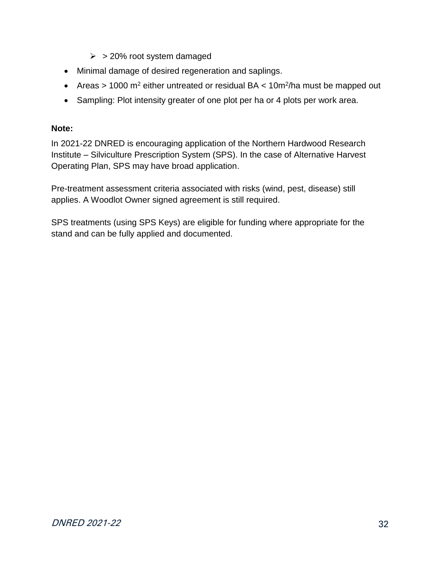- $\geq$  > 20% root system damaged
- Minimal damage of desired regeneration and saplings.
- Areas > 1000 m<sup>2</sup> either untreated or residual BA < 10m<sup>2</sup>/ha must be mapped out
- Sampling: Plot intensity greater of one plot per ha or 4 plots per work area.

#### **Note:**

In 2021-22 DNRED is encouraging application of the Northern Hardwood Research Institute – Silviculture Prescription System (SPS). In the case of Alternative Harvest Operating Plan, SPS may have broad application.

Pre-treatment assessment criteria associated with risks (wind, pest, disease) still applies. A Woodlot Owner signed agreement is still required.

SPS treatments (using SPS Keys) are eligible for funding where appropriate for the stand and can be fully applied and documented.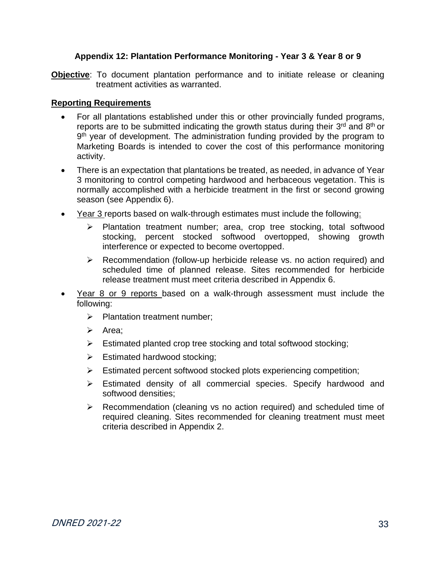#### **Appendix 12: Plantation Performance Monitoring - Year 3 & Year 8 or 9**

<span id="page-32-0"></span>**Objective**: To document plantation performance and to initiate release or cleaning treatment activities as warranted.

#### **Reporting Requirements**

- For all plantations established under this or other provincially funded programs, reports are to be submitted indicating the growth status during their 3<sup>rd</sup> and 8<sup>th</sup> or 9<sup>th</sup> year of development. The administration funding provided by the program to Marketing Boards is intended to cover the cost of this performance monitoring activity.
- There is an expectation that plantations be treated, as needed, in advance of Year 3 monitoring to control competing hardwood and herbaceous vegetation. This is normally accomplished with a herbicide treatment in the first or second growing season (see Appendix 6).
- Year 3 reports based on walk-through estimates must include the following:
	- ➢ Plantation treatment number; area, crop tree stocking, total softwood stocking, percent stocked softwood overtopped, showing growth interference or expected to become overtopped.
	- ➢ Recommendation (follow-up herbicide release vs. no action required) and scheduled time of planned release. Sites recommended for herbicide release treatment must meet criteria described in Appendix 6.
- Year 8 or 9 reports based on a walk-through assessment must include the following:
	- ➢ Plantation treatment number;
	- ➢ Area;
	- ➢ Estimated planted crop tree stocking and total softwood stocking;
	- $\triangleright$  Estimated hardwood stocking:
	- $\triangleright$  Estimated percent softwood stocked plots experiencing competition;
	- ➢ Estimated density of all commercial species. Specify hardwood and softwood densities;
	- ➢ Recommendation (cleaning vs no action required) and scheduled time of required cleaning. Sites recommended for cleaning treatment must meet criteria described in Appendix 2.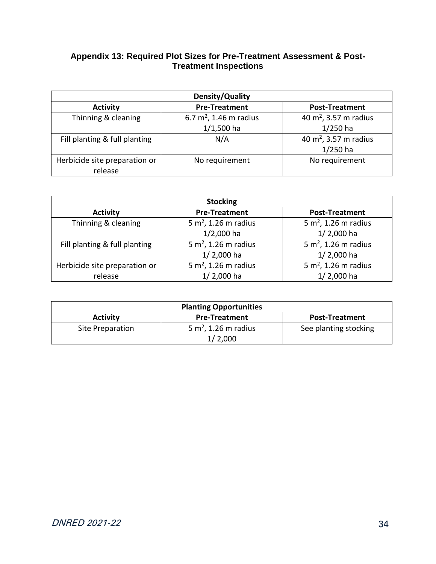#### <span id="page-33-0"></span>**Appendix 13: Required Plot Sizes for Pre-Treatment Assessment & Post-Treatment Inspections**

| Density/Quality               |                           |                                   |
|-------------------------------|---------------------------|-----------------------------------|
| <b>Activity</b>               | <b>Pre-Treatment</b>      | <b>Post-Treatment</b>             |
| Thinning & cleaning           | 6.7 $m^2$ , 1.46 m radius | 40 m <sup>2</sup> , 3.57 m radius |
|                               | $1/1,500$ ha              | $1/250$ ha                        |
| Fill planting & full planting | N/A                       | 40 m <sup>2</sup> , 3.57 m radius |
|                               |                           | $1/250$ ha                        |
| Herbicide site preparation or | No requirement            | No requirement                    |
| release                       |                           |                                   |

| <b>Stocking</b>               |                                  |                                  |  |
|-------------------------------|----------------------------------|----------------------------------|--|
| <b>Activity</b>               | <b>Pre-Treatment</b>             | <b>Post-Treatment</b>            |  |
| Thinning & cleaning           | 5 m <sup>2</sup> , 1.26 m radius | 5 m <sup>2</sup> , 1.26 m radius |  |
|                               | $1/2,000$ ha                     | 1/2,000 ha                       |  |
| Fill planting & full planting | $5 m2$ , 1.26 m radius           | $5 m2$ , 1.26 m radius           |  |
|                               | $1/2,000$ ha                     | 1/2,000 ha                       |  |
| Herbicide site preparation or | 5 m <sup>2</sup> , 1.26 m radius | 5 m <sup>2</sup> , 1.26 m radius |  |
| release                       | 1/2,000 ha                       | 1/2,000 ha                       |  |

| <b>Planting Opportunities</b> |                                             |                       |  |
|-------------------------------|---------------------------------------------|-----------------------|--|
| <b>Activity</b>               | <b>Pre-Treatment</b>                        | <b>Post-Treatment</b> |  |
| Site Preparation              | 5 m <sup>2</sup> , 1.26 m radius<br>1/2,000 | See planting stocking |  |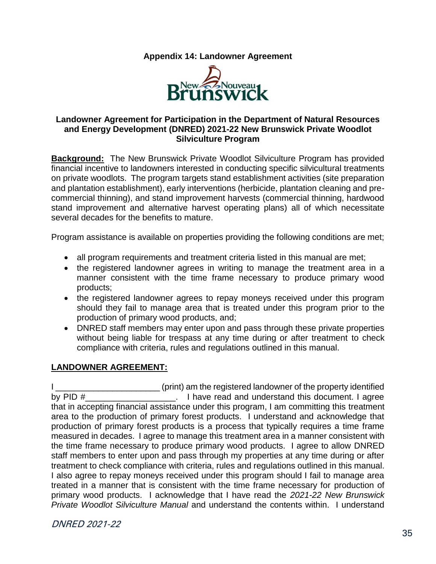**Appendix 14: Landowner Agreement**



#### <span id="page-34-0"></span>**Landowner Agreement for Participation in the Department of Natural Resources and Energy Development (DNRED) 2021-22 New Brunswick Private Woodlot Silviculture Program**

**Background:** The New Brunswick Private Woodlot Silviculture Program has provided financial incentive to landowners interested in conducting specific silvicultural treatments on private woodlots. The program targets stand establishment activities (site preparation and plantation establishment), early interventions (herbicide, plantation cleaning and precommercial thinning), and stand improvement harvests (commercial thinning, hardwood stand improvement and alternative harvest operating plans) all of which necessitate several decades for the benefits to mature.

Program assistance is available on properties providing the following conditions are met;

- all program requirements and treatment criteria listed in this manual are met;
- the registered landowner agrees in writing to manage the treatment area in a manner consistent with the time frame necessary to produce primary wood products;
- the registered landowner agrees to repay moneys received under this program should they fail to manage area that is treated under this program prior to the production of primary wood products, and;
- DNRED staff members may enter upon and pass through these private properties without being liable for trespass at any time during or after treatment to check compliance with criteria, rules and regulations outlined in this manual.

#### **LANDOWNER AGREEMENT:**

I Letterman the registered landowner of the property identified by PID #  $\blacksquare$  . I have read and understand this document. I agree that in accepting financial assistance under this program, I am committing this treatment area to the production of primary forest products. I understand and acknowledge that production of primary forest products is a process that typically requires a time frame measured in decades. I agree to manage this treatment area in a manner consistent with the time frame necessary to produce primary wood products. I agree to allow DNRED staff members to enter upon and pass through my properties at any time during or after treatment to check compliance with criteria, rules and regulations outlined in this manual. I also agree to repay moneys received under this program should I fail to manage area treated in a manner that is consistent with the time frame necessary for production of primary wood products. I acknowledge that I have read the *2021-22 New Brunswick Private Woodlot Silviculture Manual* and understand the contents within. I understand

DNRED 2021-22